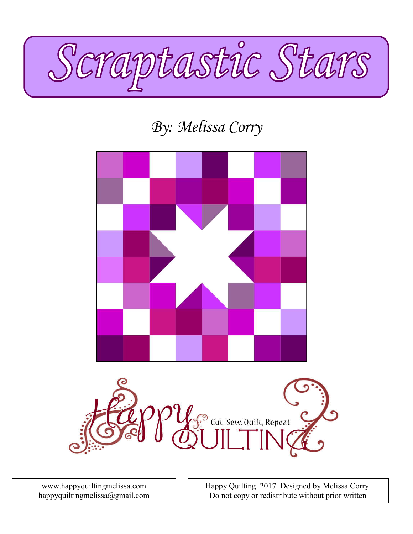

# By: Melissa Corry



consent.<br>Consent

 Happy Quilting 2017 Designed by Melissa Corry Do not copy or redistribute without prior written

www.happyquiltingmelissa.com happyquiltingmelissa@gmail.com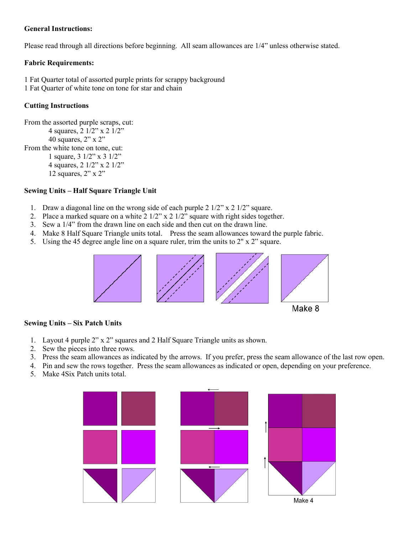# General Instructions:

Please read through all directions before beginning. All seam allowances are 1/4" unless otherwise stated.

### Fabric Requirements:

1 Fat Quarter total of assorted purple prints for scrappy background 1 Fat Quarter of white tone on tone for star and chain

### Cutting Instructions

From the assorted purple scraps, cut: 4 squares, 2 1/2" x 2 1/2" 40 squares, 2" x 2" From the white tone on tone, cut: 1 square, 3 1/2" x 3 1/2" 4 squares, 2 1/2" x 2 1/2" 12 squares, 2" x 2"

#### Sewing Units – Half Square Triangle Unit

- 1. Draw a diagonal line on the wrong side of each purple 2 1/2" x 2 1/2" square.
- 2. Place a marked square on a white 2 1/2" x 2 1/2" square with right sides together.
- 3. Sew a 1/4" from the drawn line on each side and then cut on the drawn line.
- 4. Make 8 Half Square Triangle units total. Press the seam allowances toward the purple fabric.
- 5. Using the 45 degree angle line on a square ruler, trim the units to 2" x 2" square.



# Make 8

# Sewing Units – Six Patch Units

- 1. Layout 4 purple 2" x 2" squares and 2 Half Square Triangle units as shown.
- 2. Sew the pieces into three rows.
- 3. Press the seam allowances as indicated by the arrows. If you prefer, press the seam allowance of the last row open.
- 4. Pin and sew the rows together. Press the seam allowances as indicated or open, depending on your preference.
- 5. Make 4Six Patch units total.